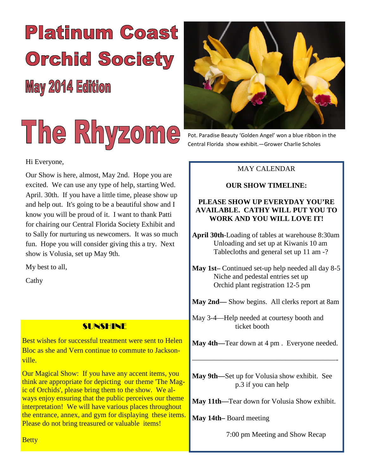# **Platinum Coast Orchid Society May 2014 Edition**



#### Hi Everyone,

Our Show is here, almost, May 2nd. Hope you are excited. We can use any type of help, starting Wed. April. 30th. If you have a little time, please show up and help out. It's going to be a beautiful show and I know you will be proud of it. I want to thank Patti for chairing our Central Florida Society Exhibit and to Sally for nurturing us newcomers. It was so much fun. Hope you will consider giving this a try. Next show is Volusia, set up May 9th.

My best to all,

Cathy

#### SUNSHINE

Best wishes for successful treatment were sent to Helen Bloc as she and Vern continue to commute to Jacksonville.

Our Magical Show: If you have any accent items, you think are appropriate for depicting our theme 'The Magic of Orchids', please bring them to the show. We always enjoy ensuring that the public perceives our theme interpretation! We will have various places throughout the entrance, annex, and gym for displaying these items. Please do not bring treasured or valuable items!



Pot. Paradise Beauty 'Golden Angel' won a blue ribbon in the Central Florida show exhibit.—Grower Charlie Scholes

#### MAY CALENDAR

#### **OUR SHOW TIMELINE:**

#### **PLEASE SHOW UP EVERYDAY YOU'RE AVAILABLE. CATHY WILL PUT YOU TO WORK AND YOU WILL LOVE IT!**

**April 30th**-Loading of tables at warehouse 8:30am Unloading and set up at Kiwanis 10 am Tablecloths and general set up 11 am -?

**May 1st–** Continued set-up help needed all day 8-5 Niche and pedestal entries set up Orchid plant registration 12-5 pm

**May 2nd—** Show begins. All clerks report at 8am

May 3-4—Help needed at courtesy booth and ticket booth

**May 4th—**Tear down at 4 pm . Everyone needed.

————————————————————-

**May 9th—**Set up for Volusia show exhibit. See p.3 if you can help

**May 11th—**Tear down for Volusia Show exhibit.

**May 14th–** Board meeting

7:00 pm Meeting and Show Recap

**Betty**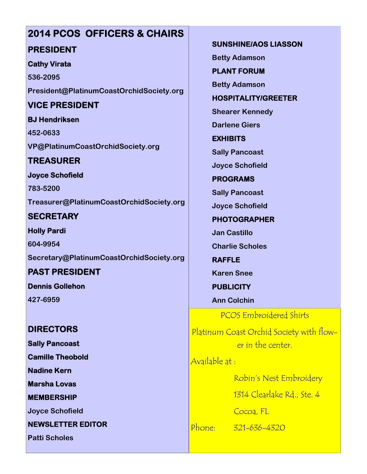# **2014 PCOS OFFICERS & CHAIRS PRESIDENT**

#### **Cathy Virata**

**536-2095 President@PlatinumCoastOrchidSociety.org**

## **VICE PRESIDENT**

**BJ Hendriksen 452-0633 VP@PlatinumCoastOrchidSociety.org**

## **TREASURER**

**Joyce Schofield**

**783-5200 Treasurer@PlatinumCoastOrchidSociety.org**

**SECRETARY**

**Holly Pardi 604-9954 Secretary@PlatinumCoastOrchidSociety.org**

**PAST PRESIDENT Dennis Gollehon**

**427-6959**

### **DIRECTORS**

**Sally Pancoast**

**Camille Theobold**

**Nadine Kern**

**Marsha Lovas**

**MEMBERSHIP**

**Joyce Schofield**

**NEWSLETTER EDITOR**

**Patti Scholes**

**SUNSHINE/AOS LIASSON Betty Adamson**

**PLANT FORUM**

**Betty Adamson**

**HOSPITALITY/GREETER**

**Shearer Kennedy**

**Darlene Giers**

**EXHIBITS**

**Sally Pancoast**

**Joyce Schofield**

**PROGRAMS**

**Sally Pancoast**

**Joyce Schofield**

**PHOTOGRAPHER**

**Jan Castillo**

**Charlie Scholes**

**RAFFLE Karen Snee**

**PUBLICITY**

**Ann Colchin**

PCOS Embroidered Shirts

Platinum Coast Orchid Society with flower in the center.

Available at :

Robin's Nest Embroidery

1314 Clearlake Rd., Ste. 4

Cocoa, FL

Phone: 321-636-4320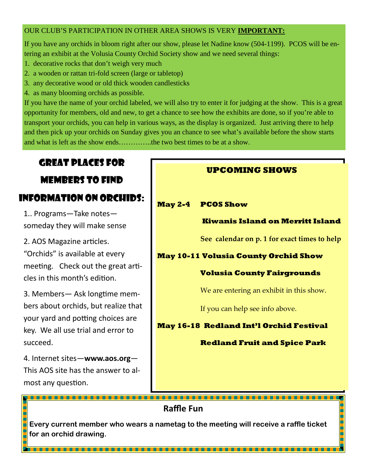#### OUR CLUB'S PARTICIPATION IN OTHER AREA SHOWS IS VERY **IMPORTANT:**

If you have any orchids in bloom right after our show, please let Nadine know (504-1199). PCOS will be entering an exhibit at the Volusia County Orchid Society show and we need several things:

- 1. decorative rocks that don't weigh very much
- 2. a wooden or rattan tri-fold screen (large or tabletop)
- 3. any decorative wood or old thick wooden candlesticks
- 4. as many blooming orchids as possible.

If you have the name of your orchid labeled, we will also try to enter it for judging at the show. This is a great opportunity for members, old and new, to get a chance to see how the exhibits are done, so if you're able to transport your orchids, you can help in various ways, as the display is organized. Just arriving there to help and then pick up your orchids on Sunday gives you an chance to see what's available before the show starts and what is left as the show ends…………..the two best times to be at a show.

## GREAT PLACES FOR

## MEMBERS TO FIND INFORMATION ON ORCHIDS:

1.. Programs—Take notes someday they will make sense

2. AOS Magazine articles. "Orchids" is available at every meeting. Check out the great articles in this month's edition

3. Members— Ask longtime members about orchids, but realize that your yard and potting choices are key. We all use trial and error to succeed.

4. Internet sites—**www.aos.org**— This AOS site has the answer to almost any question.

#### **UPCOMING SHOWS**

#### **May 2-4 PCOS Show**

#### **Kiwanis Island on Merritt Island**

**See calendar on p. 1 for exact times to help**

#### **May 10-11 Volusia County Orchid Show**

#### **Volusia County Fairgrounds**

We are entering an exhibit in this show.

If you can help see info above.

#### **May 16-18 Redland Int'l Orchid Festival**

#### **Redland Fruit and Spice Park**

**Raffle Fun**

**Every current member who wears a nametag to the meeting will receive a raffle ticket for an orchid drawing.**